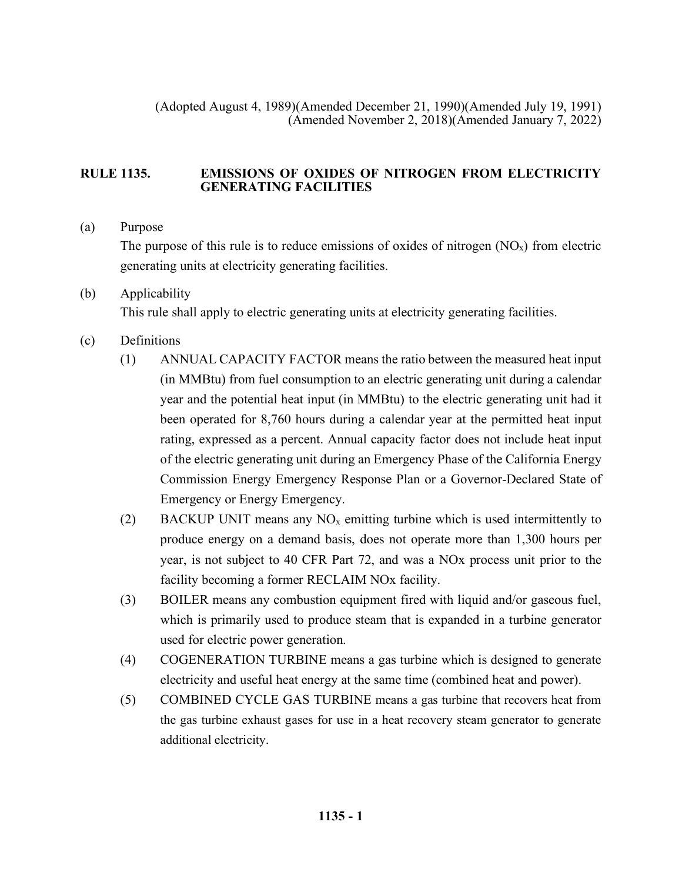## **RULE 1135. EMISSIONS OF OXIDES OF NITROGEN FROM ELECTRICITY GENERATING FACILITIES**

(a) Purpose

The purpose of this rule is to reduce emissions of oxides of nitrogen  $(NO_x)$  from electric generating units at electricity generating facilities.

- (b) Applicability This rule shall apply to electric generating units at electricity generating facilities.
- (c) Definitions
	- (1) ANNUAL CAPACITY FACTOR means the ratio between the measured heat input (in MMBtu) from fuel consumption to an electric generating unit during a calendar year and the potential heat input (in MMBtu) to the electric generating unit had it been operated for 8,760 hours during a calendar year at the permitted heat input rating, expressed as a percent. Annual capacity factor does not include heat input of the electric generating unit during an Emergency Phase of the California Energy Commission Energy Emergency Response Plan or a Governor-Declared State of Emergency or Energy Emergency.
	- (2) BACKUP UNIT means any  $NO<sub>x</sub>$  emitting turbine which is used intermittently to produce energy on a demand basis, does not operate more than 1,300 hours per year, is not subject to 40 CFR Part 72, and was a NOx process unit prior to the facility becoming a former RECLAIM NOx facility.
	- (3) BOILER means any combustion equipment fired with liquid and/or gaseous fuel, which is primarily used to produce steam that is expanded in a turbine generator used for electric power generation.
	- (4) COGENERATION TURBINE means a gas turbine which is designed to generate electricity and useful heat energy at the same time (combined heat and power).
	- (5) COMBINED CYCLE GAS TURBINE means a gas turbine that recovers heat from the gas turbine exhaust gases for use in a heat recovery steam generator to generate additional electricity.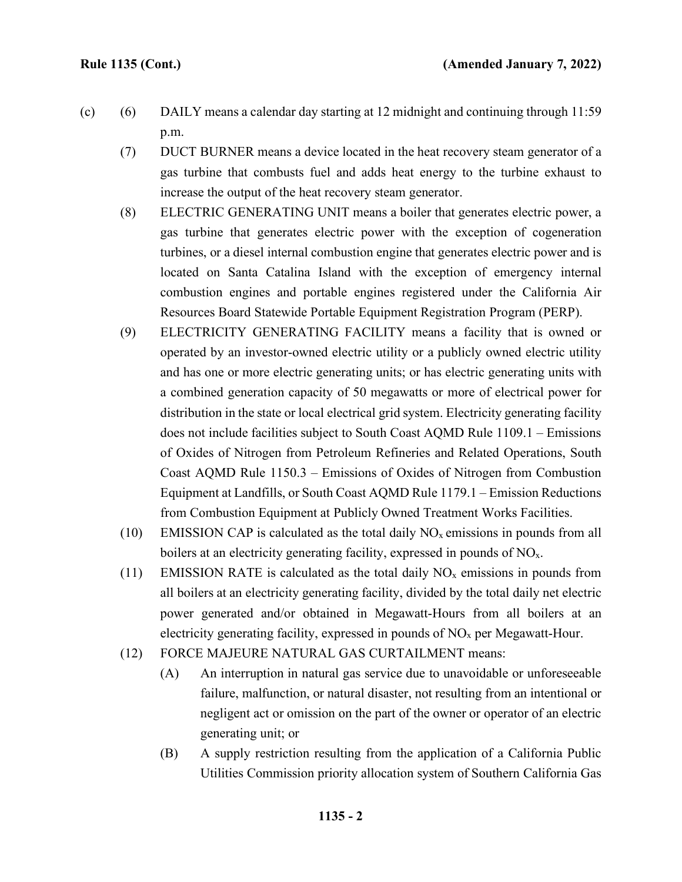- (c) (6) DAILY means a calendar day starting at 12 midnight and continuing through 11:59 p.m.
	- (7) DUCT BURNER means a device located in the heat recovery steam generator of a gas turbine that combusts fuel and adds heat energy to the turbine exhaust to increase the output of the heat recovery steam generator.
	- (8) ELECTRIC GENERATING UNIT means a boiler that generates electric power, a gas turbine that generates electric power with the exception of cogeneration turbines, or a diesel internal combustion engine that generates electric power and is located on Santa Catalina Island with the exception of emergency internal combustion engines and portable engines registered under the California Air Resources Board Statewide Portable Equipment Registration Program (PERP).
	- (9) ELECTRICITY GENERATING FACILITY means a facility that is owned or operated by an investor-owned electric utility or a publicly owned electric utility and has one or more electric generating units; or has electric generating units with a combined generation capacity of 50 megawatts or more of electrical power for distribution in the state or local electrical grid system. Electricity generating facility does not include facilities subject to South Coast AQMD Rule 1109.1 – Emissions of Oxides of Nitrogen from Petroleum Refineries and Related Operations, South Coast AQMD Rule 1150.3 – Emissions of Oxides of Nitrogen from Combustion Equipment at Landfills, or South Coast AQMD Rule 1179.1 – Emission Reductions from Combustion Equipment at Publicly Owned Treatment Works Facilities.
	- (10) EMISSION CAP is calculated as the total daily  $NO<sub>x</sub>$  emissions in pounds from all boilers at an electricity generating facility, expressed in pounds of  $NO<sub>x</sub>$ .
	- (11) EMISSION RATE is calculated as the total daily  $NO<sub>x</sub>$  emissions in pounds from all boilers at an electricity generating facility, divided by the total daily net electric power generated and/or obtained in Megawatt-Hours from all boilers at an electricity generating facility, expressed in pounds of  $NO<sub>x</sub>$  per Megawatt-Hour.
	- (12) FORCE MAJEURE NATURAL GAS CURTAILMENT means:
		- (A) An interruption in natural gas service due to unavoidable or unforeseeable failure, malfunction, or natural disaster, not resulting from an intentional or negligent act or omission on the part of the owner or operator of an electric generating unit; or
		- (B) A supply restriction resulting from the application of a California Public Utilities Commission priority allocation system of Southern California Gas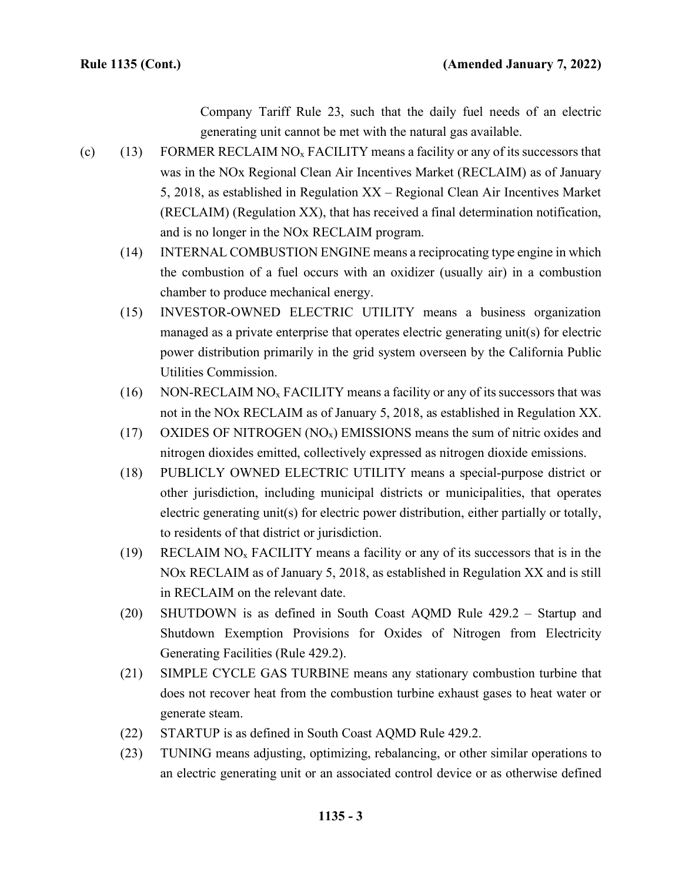Company Tariff Rule 23, such that the daily fuel needs of an electric generating unit cannot be met with the natural gas available.

- (c) (13) FORMER RECLAIM NO<sub>x</sub> FACILITY means a facility or any of its successors that was in the NOx Regional Clean Air Incentives Market (RECLAIM) as of January 5, 2018, as established in Regulation XX – Regional Clean Air Incentives Market (RECLAIM) (Regulation XX), that has received a final determination notification, and is no longer in the NOx RECLAIM program.
	- (14) INTERNAL COMBUSTION ENGINE means a reciprocating type engine in which the combustion of a fuel occurs with an oxidizer (usually air) in a combustion chamber to produce mechanical energy.
	- (15) INVESTOR-OWNED ELECTRIC UTILITY means a business organization managed as a private enterprise that operates electric generating unit(s) for electric power distribution primarily in the grid system overseen by the California Public Utilities Commission.
	- (16) NON-RECLAIM NO<sub>x</sub> FACILITY means a facility or any of its successors that was not in the NOx RECLAIM as of January 5, 2018, as established in Regulation XX.
	- (17) OXIDES OF NITROGEN  $(NO<sub>x</sub>)$  EMISSIONS means the sum of nitric oxides and nitrogen dioxides emitted, collectively expressed as nitrogen dioxide emissions.
	- (18) PUBLICLY OWNED ELECTRIC UTILITY means a special-purpose district or other jurisdiction, including municipal districts or municipalities, that operates electric generating unit(s) for electric power distribution, either partially or totally, to residents of that district or jurisdiction.
	- (19) RECLAIM  $NO<sub>x</sub>$  FACILITY means a facility or any of its successors that is in the NOx RECLAIM as of January 5, 2018, as established in Regulation XX and is still in RECLAIM on the relevant date.
	- (20) SHUTDOWN is as defined in South Coast AQMD Rule 429.2 Startup and Shutdown Exemption Provisions for Oxides of Nitrogen from Electricity Generating Facilities (Rule 429.2).
	- (21) SIMPLE CYCLE GAS TURBINE means any stationary combustion turbine that does not recover heat from the combustion turbine exhaust gases to heat water or generate steam.
	- (22) STARTUP is as defined in South Coast AQMD Rule 429.2.
	- (23) TUNING means adjusting, optimizing, rebalancing, or other similar operations to an electric generating unit or an associated control device or as otherwise defined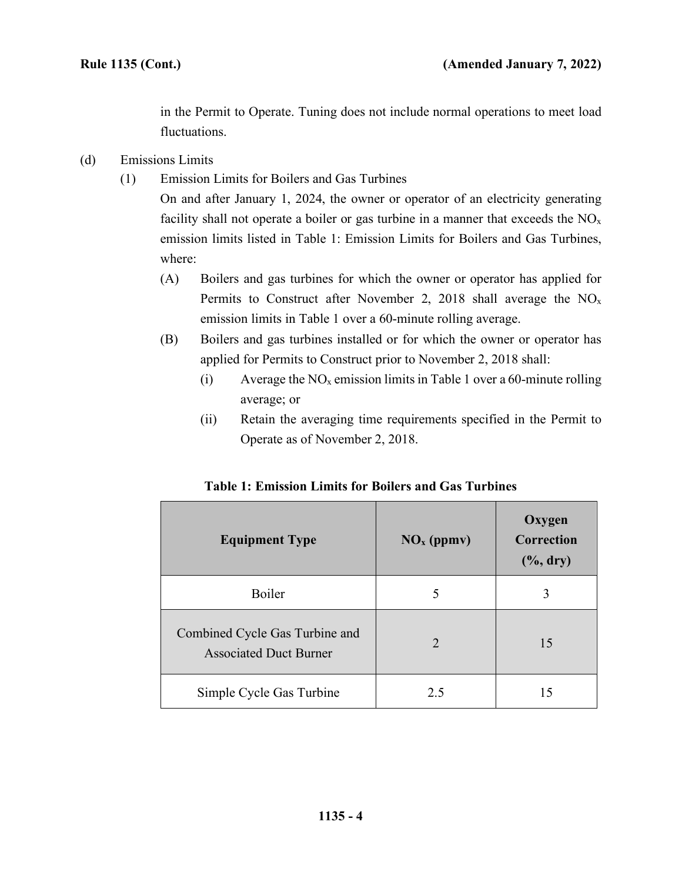in the Permit to Operate. Tuning does not include normal operations to meet load fluctuations.

- (d) Emissions Limits
	- (1) Emission Limits for Boilers and Gas Turbines

On and after January 1, 2024, the owner or operator of an electricity generating facility shall not operate a boiler or gas turbine in a manner that exceeds the  $NO<sub>x</sub>$ emission limits listed in Table 1: Emission Limits for Boilers and Gas Turbines, where:

- (A) Boilers and gas turbines for which the owner or operator has applied for Permits to Construct after November 2, 2018 shall average the  $NO<sub>x</sub>$ emission limits in Table 1 over a 60-minute rolling average.
- (B) Boilers and gas turbines installed or for which the owner or operator has applied for Permits to Construct prior to November 2, 2018 shall:
	- (i) Average the  $NO<sub>x</sub>$  emission limits in Table 1 over a 60-minute rolling average; or
	- (ii) Retain the averaging time requirements specified in the Permit to Operate as of November 2, 2018.

| <b>Equipment Type</b>                                           | $NOx$ (ppmv)                | Oxygen<br>Correction<br>$(\%$ , dry) |
|-----------------------------------------------------------------|-----------------------------|--------------------------------------|
| <b>Boiler</b>                                                   |                             | 3                                    |
| Combined Cycle Gas Turbine and<br><b>Associated Duct Burner</b> | $\mathcal{D}_{\mathcal{L}}$ | 15                                   |
| Simple Cycle Gas Turbine                                        | 2.5                         | 15                                   |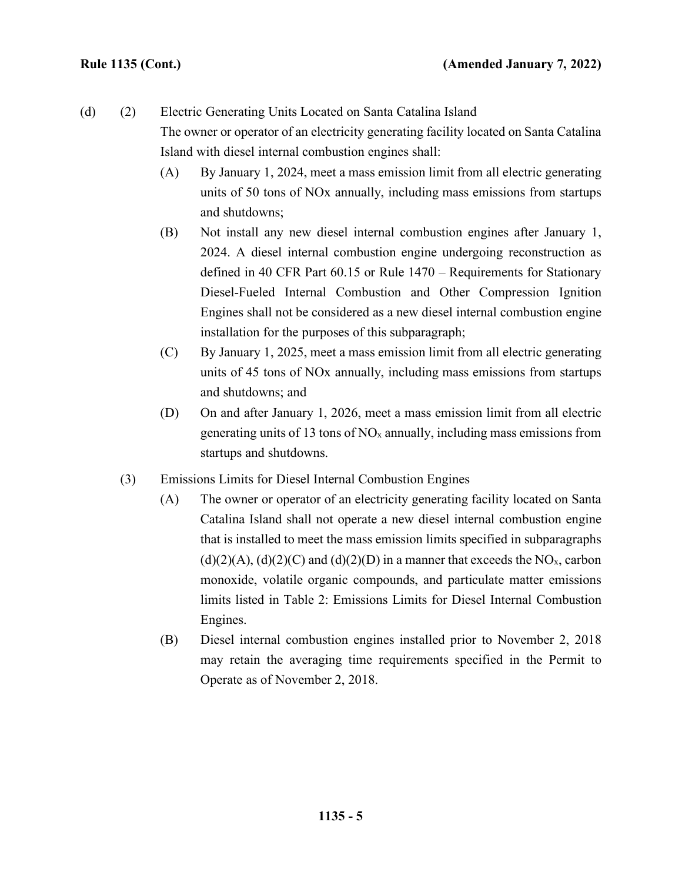- (d) (2) Electric Generating Units Located on Santa Catalina Island The owner or operator of an electricity generating facility located on Santa Catalina Island with diesel internal combustion engines shall:
	- (A) By January 1, 2024, meet a mass emission limit from all electric generating units of 50 tons of NOx annually, including mass emissions from startups and shutdowns;
	- (B) Not install any new diesel internal combustion engines after January 1, 2024. A diesel internal combustion engine undergoing reconstruction as defined in 40 CFR Part 60.15 or Rule 1470 – Requirements for Stationary Diesel-Fueled Internal Combustion and Other Compression Ignition Engines shall not be considered as a new diesel internal combustion engine installation for the purposes of this subparagraph;
	- (C) By January 1, 2025, meet a mass emission limit from all electric generating units of 45 tons of NOx annually, including mass emissions from startups and shutdowns; and
	- (D) On and after January 1, 2026, meet a mass emission limit from all electric generating units of 13 tons of  $NO<sub>x</sub>$  annually, including mass emissions from startups and shutdowns.
	- (3) Emissions Limits for Diesel Internal Combustion Engines
		- (A) The owner or operator of an electricity generating facility located on Santa Catalina Island shall not operate a new diesel internal combustion engine that is installed to meet the mass emission limits specified in subparagraphs  $(d)(2)(A)$ ,  $(d)(2)(C)$  and  $(d)(2)(D)$  in a manner that exceeds the NO<sub>x</sub>, carbon monoxide, volatile organic compounds, and particulate matter emissions limits listed in Table 2: Emissions Limits for Diesel Internal Combustion Engines.
		- (B) Diesel internal combustion engines installed prior to November 2, 2018 may retain the averaging time requirements specified in the Permit to Operate as of November 2, 2018.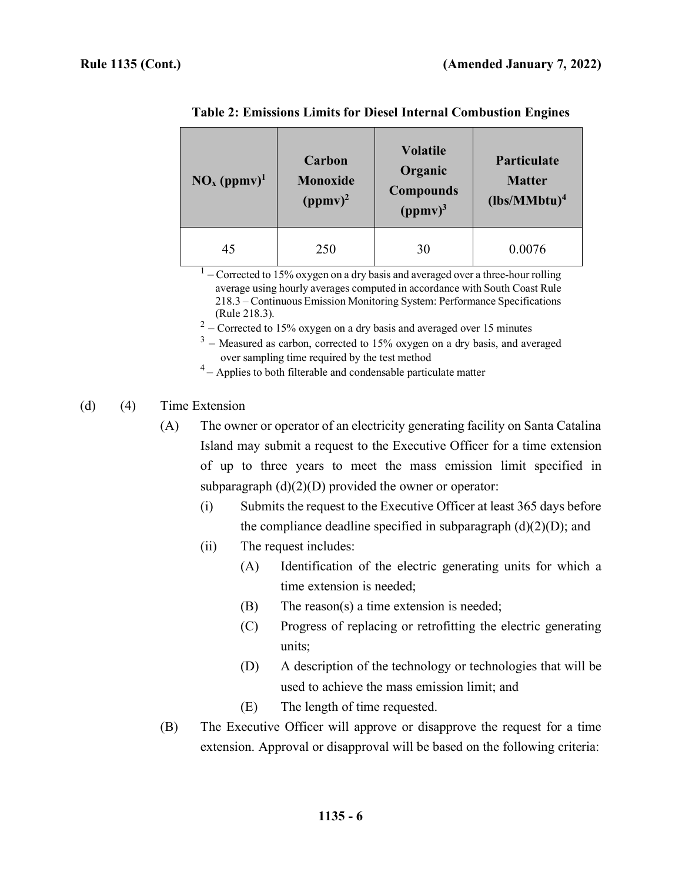| $\overline{\mathrm{NO_x (ppmv)}^1}$ | Carbon<br><b>Monoxide</b><br>$(ppmv)^2$ | <b>Volatile</b><br>Organic<br><b>Compounds</b><br>$(ppmv)^3$ | Particulate<br><b>Matter</b><br>$(lbs/MMbtu)^4$ |
|-------------------------------------|-----------------------------------------|--------------------------------------------------------------|-------------------------------------------------|
| 45                                  | 250                                     | 30                                                           | 0.0076                                          |

**Table 2: Emissions Limits for Diesel Internal Combustion Engines**

 $1 -$ Corrected to 15% oxygen on a dry basis and averaged over a three-hour rolling average using hourly averages computed in accordance with South Coast Rule 218.3 – Continuous Emission Monitoring System: Performance Specifications (Rule 218.3).

- $2 -$  Corrected to 15% oxygen on a dry basis and averaged over 15 minutes
- $3 -$  Measured as carbon, corrected to 15% oxygen on a dry basis, and averaged over sampling time required by the test method
- $4 -$  Applies to both filterable and condensable particulate matter

## (d) (4) Time Extension

- (A) The owner or operator of an electricity generating facility on Santa Catalina Island may submit a request to the Executive Officer for a time extension of up to three years to meet the mass emission limit specified in subparagraph  $(d)(2)(D)$  provided the owner or operator:
	- (i) Submits the request to the Executive Officer at least 365 days before the compliance deadline specified in subparagraph  $(d)(2)(D)$ ; and
	- (ii) The request includes:
		- (A) Identification of the electric generating units for which a time extension is needed;
		- (B) The reason(s) a time extension is needed;
		- (C) Progress of replacing or retrofitting the electric generating units;
		- (D) A description of the technology or technologies that will be used to achieve the mass emission limit; and
		- (E) The length of time requested.
- (B) The Executive Officer will approve or disapprove the request for a time extension. Approval or disapproval will be based on the following criteria: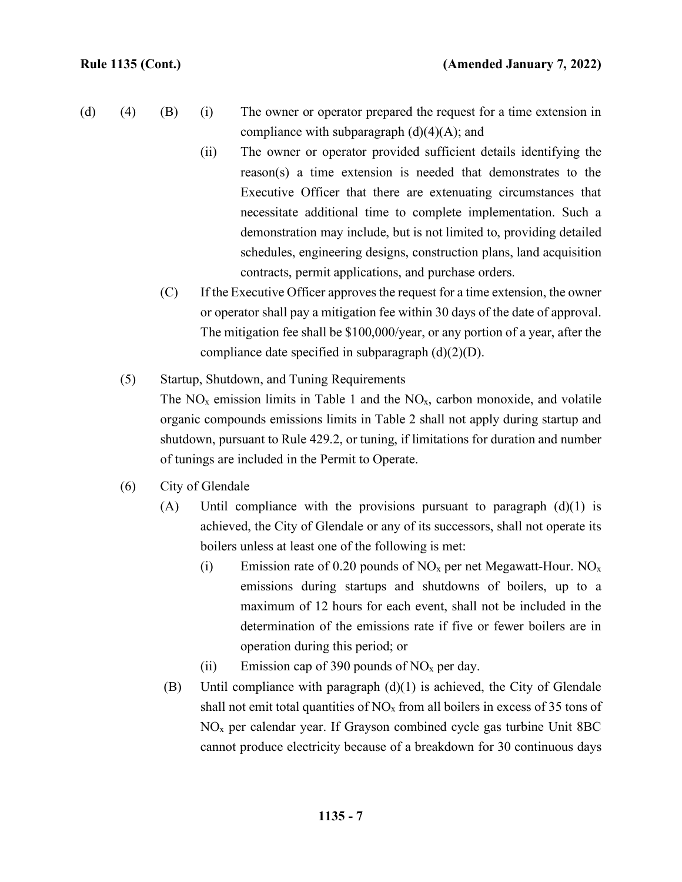- (d) (4) (B) (i) The owner or operator prepared the request for a time extension in compliance with subparagraph  $(d)(4)(A)$ ; and
	- (ii) The owner or operator provided sufficient details identifying the reason(s) a time extension is needed that demonstrates to the Executive Officer that there are extenuating circumstances that necessitate additional time to complete implementation. Such a demonstration may include, but is not limited to, providing detailed schedules, engineering designs, construction plans, land acquisition contracts, permit applications, and purchase orders.
	- (C) If the Executive Officer approves the request for a time extension, the owner or operator shall pay a mitigation fee within 30 days of the date of approval. The mitigation fee shall be \$100,000/year, or any portion of a year, after the compliance date specified in subparagraph (d)(2)(D).
	- (5) Startup, Shutdown, and Tuning Requirements The  $NO<sub>x</sub>$  emission limits in Table 1 and the  $NO<sub>x</sub>$ , carbon monoxide, and volatile organic compounds emissions limits in Table 2 shall not apply during startup and shutdown, pursuant to Rule 429.2, or tuning, if limitations for duration and number of tunings are included in the Permit to Operate.
	- (6) City of Glendale
		- (A) Until compliance with the provisions pursuant to paragraph  $(d)(1)$  is achieved, the City of Glendale or any of its successors, shall not operate its boilers unless at least one of the following is met:
			- (i) Emission rate of 0.20 pounds of  $NO_x$  per net Megawatt-Hour.  $NO_x$ emissions during startups and shutdowns of boilers, up to a maximum of 12 hours for each event, shall not be included in the determination of the emissions rate if five or fewer boilers are in operation during this period; or
			- (ii) Emission cap of 390 pounds of  $NO<sub>x</sub>$  per day.
		- (B) Until compliance with paragraph  $(d)(1)$  is achieved, the City of Glendale shall not emit total quantities of  $NO<sub>x</sub>$  from all boilers in excess of 35 tons of  $NO<sub>x</sub>$  per calendar year. If Grayson combined cycle gas turbine Unit 8BC cannot produce electricity because of a breakdown for 30 continuous days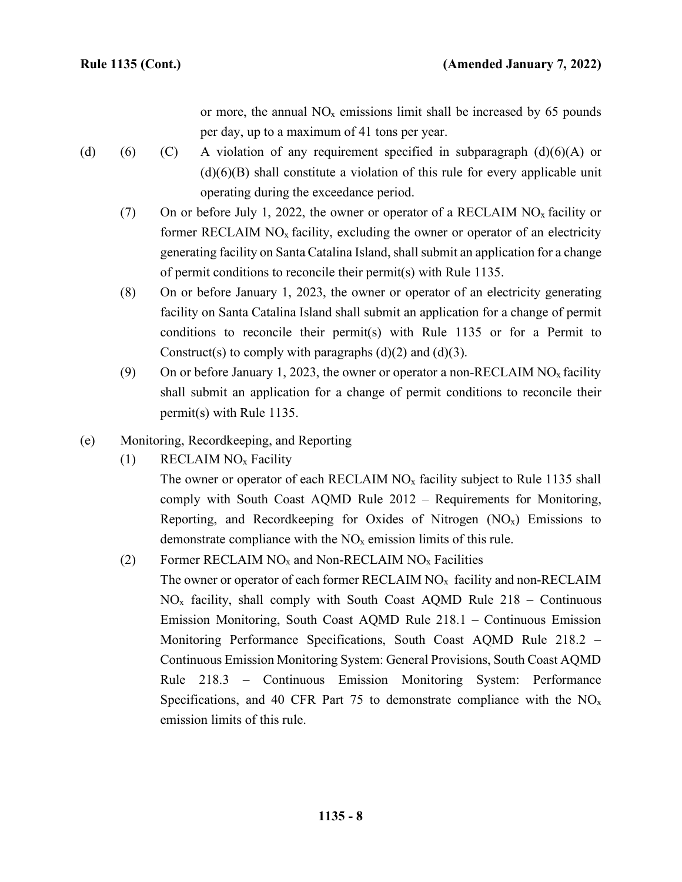or more, the annual  $NO<sub>x</sub>$  emissions limit shall be increased by 65 pounds per day, up to a maximum of 41 tons per year.

- (d) (6) (C) A violation of any requirement specified in subparagraph  $(d)(6)(A)$  or  $(d)(6)(B)$  shall constitute a violation of this rule for every applicable unit operating during the exceedance period.
	- (7) On or before July 1, 2022, the owner or operator of a RECLAIM  $NO<sub>x</sub>$  facility or former RECLAIM  $NO<sub>x</sub>$  facility, excluding the owner or operator of an electricity generating facility on Santa Catalina Island, shall submit an application for a change of permit conditions to reconcile their permit(s) with Rule 1135.
	- (8) On or before January 1, 2023, the owner or operator of an electricity generating facility on Santa Catalina Island shall submit an application for a change of permit conditions to reconcile their permit(s) with Rule 1135 or for a Permit to Construct(s) to comply with paragraphs  $(d)(2)$  and  $(d)(3)$ .
	- (9) On or before January 1, 2023, the owner or operator a non-RECLAIM  $NO<sub>x</sub>$  facility shall submit an application for a change of permit conditions to reconcile their permit(s) with Rule 1135.
- (e) Monitoring, Recordkeeping, and Reporting
	- (1) RECLAIM  $NO<sub>x</sub>$  Facility

The owner or operator of each RECLAIM  $NO<sub>x</sub>$  facility subject to Rule 1135 shall comply with South Coast AQMD Rule 2012 – Requirements for Monitoring, Reporting, and Recordkeeping for Oxides of Nitrogen  $(NO<sub>x</sub>)$  Emissions to demonstrate compliance with the  $NO<sub>x</sub>$  emission limits of this rule.

(2) Former RECLAIM  $NO_x$  and Non-RECLAIM  $NO_x$  Facilities The owner or operator of each former  $RECLAIM NO<sub>x</sub>$  facility and non- $RECLAIM$  $NO<sub>x</sub>$  facility, shall comply with South Coast AQMD Rule 218 – Continuous Emission Monitoring, South Coast AQMD Rule 218.1 – Continuous Emission Monitoring Performance Specifications, South Coast AQMD Rule 218.2 – Continuous Emission Monitoring System: General Provisions, South Coast AQMD Rule 218.3 – Continuous Emission Monitoring System: Performance Specifications, and 40 CFR Part 75 to demonstrate compliance with the  $NO<sub>x</sub>$ emission limits of this rule.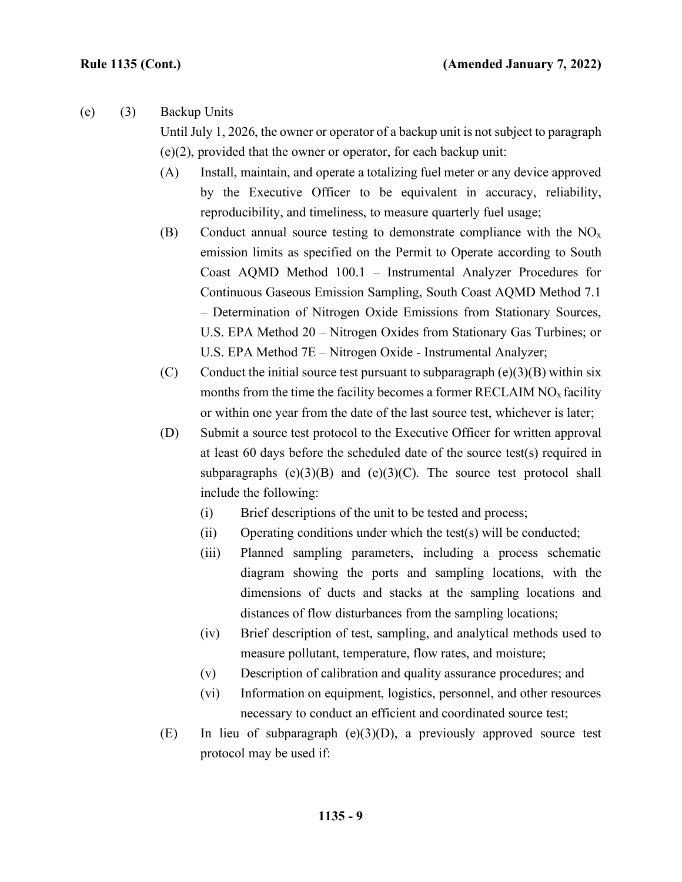## (e) (3) Backup Units

Until July 1, 2026, the owner or operator of a backup unit is not subject to paragraph (e)(2), provided that the owner or operator, for each backup unit:

- (A) Install, maintain, and operate a totalizing fuel meter or any device approved by the Executive Officer to be equivalent in accuracy, reliability, reproducibility, and timeliness, to measure quarterly fuel usage;
- (B) Conduct annual source testing to demonstrate compliance with the  $NO<sub>x</sub>$ emission limits as specified on the Permit to Operate according to South Coast AQMD Method 100.1 – Instrumental Analyzer Procedures for Continuous Gaseous Emission Sampling, South Coast AQMD Method 7.1 – Determination of Nitrogen Oxide Emissions from Stationary Sources, U.S. EPA Method 20 – Nitrogen Oxides from Stationary Gas Turbines; or U.S. EPA Method 7E – Nitrogen Oxide - Instrumental Analyzer;
- (C) Conduct the initial source test pursuant to subparagraph  $(e)(3)(B)$  within six months from the time the facility becomes a former RECLAIM  $NO<sub>x</sub>$  facility or within one year from the date of the last source test, whichever is later;
- (D) Submit a source test protocol to the Executive Officer for written approval at least 60 days before the scheduled date of the source test(s) required in subparagraphs  $(e)(3)(B)$  and  $(e)(3)(C)$ . The source test protocol shall include the following:
	- (i) Brief descriptions of the unit to be tested and process;
	- (ii) Operating conditions under which the test(s) will be conducted;
	- (iii) Planned sampling parameters, including a process schematic diagram showing the ports and sampling locations, with the dimensions of ducts and stacks at the sampling locations and distances of flow disturbances from the sampling locations;
	- (iv) Brief description of test, sampling, and analytical methods used to measure pollutant, temperature, flow rates, and moisture;
	- (v) Description of calibration and quality assurance procedures; and
	- (vi) Information on equipment, logistics, personnel, and other resources necessary to conduct an efficient and coordinated source test;
- (E) In lieu of subparagraph (e)(3)(D), a previously approved source test protocol may be used if: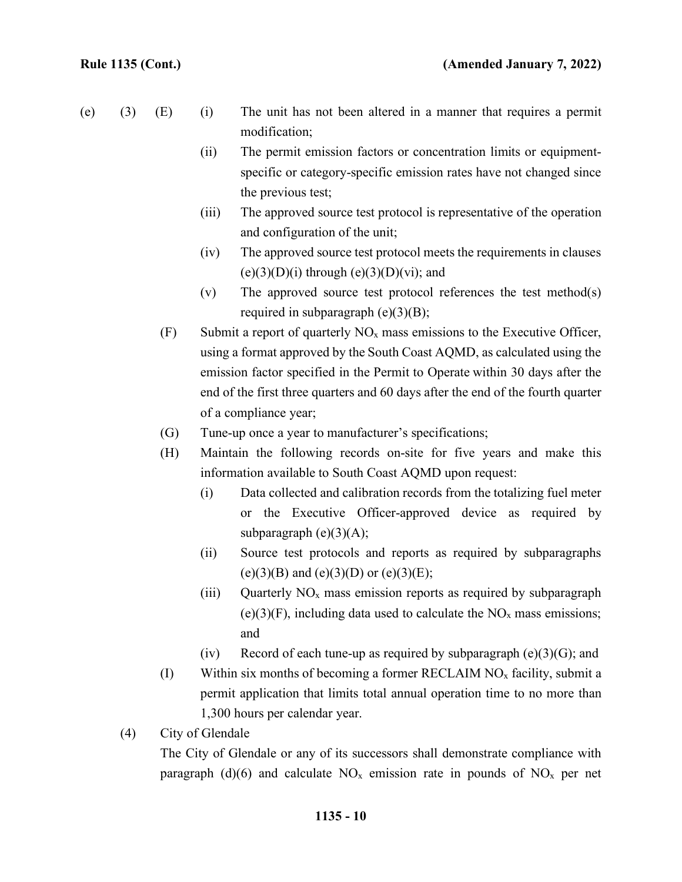- (e) (3) (E) (i) The unit has not been altered in a manner that requires a permit modification;
	- (ii) The permit emission factors or concentration limits or equipmentspecific or category-specific emission rates have not changed since the previous test;
	- (iii) The approved source test protocol is representative of the operation and configuration of the unit;
	- (iv) The approved source test protocol meets the requirements in clauses  $(e)(3)(D)(i)$  through  $(e)(3)(D)(vi)$ ; and
	- (v) The approved source test protocol references the test method(s) required in subparagraph  $(e)(3)(B)$ ;
	- (F) Submit a report of quarterly  $NO<sub>x</sub>$  mass emissions to the Executive Officer, using a format approved by the South Coast AQMD, as calculated using the emission factor specified in the Permit to Operate within 30 days after the end of the first three quarters and 60 days after the end of the fourth quarter of a compliance year;
	- (G) Tune-up once a year to manufacturer's specifications;
	- (H) Maintain the following records on-site for five years and make this information available to South Coast AQMD upon request:
		- (i) Data collected and calibration records from the totalizing fuel meter or the Executive Officer-approved device as required by subparagraph  $(e)(3)(A);$
		- (ii) Source test protocols and reports as required by subparagraphs (e)(3)(B) and (e)(3)(D) or (e)(3)(E);
		- (iii) Quarterly  $NO<sub>x</sub>$  mass emission reports as required by subparagraph (e)(3)(F), including data used to calculate the  $NO<sub>x</sub>$  mass emissions; and
		- (iv) Record of each tune-up as required by subparagraph  $(e)(3)(G)$ ; and
	- (I) Within six months of becoming a former RECLAIM  $NO<sub>x</sub>$  facility, submit a permit application that limits total annual operation time to no more than 1,300 hours per calendar year.
	- (4) City of Glendale

The City of Glendale or any of its successors shall demonstrate compliance with paragraph (d)(6) and calculate  $NO_x$  emission rate in pounds of  $NO_x$  per net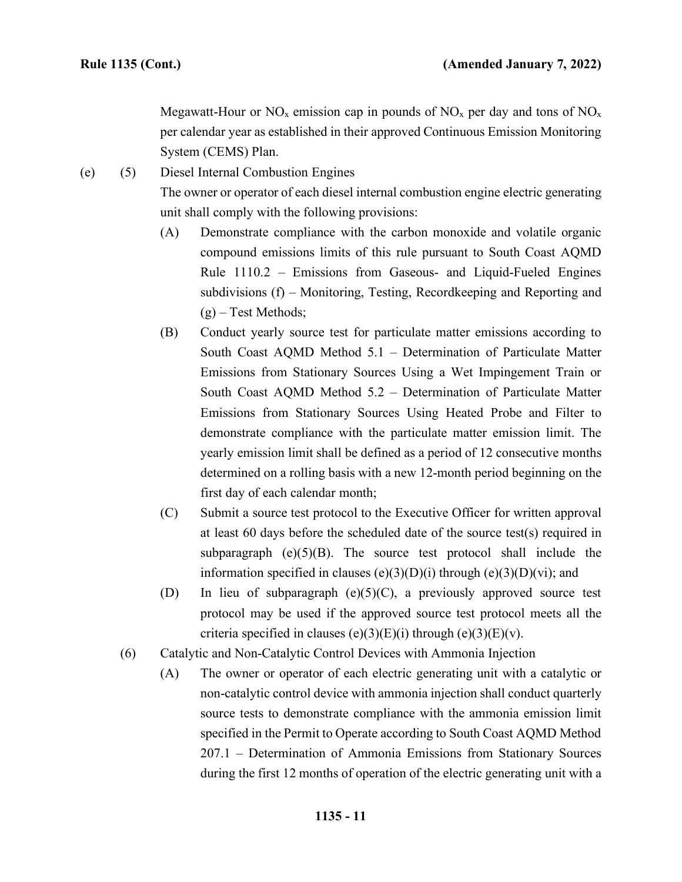Megawatt-Hour or  $NO_x$  emission cap in pounds of  $NO_x$  per day and tons of  $NO_x$ per calendar year as established in their approved Continuous Emission Monitoring System (CEMS) Plan.

(e) (5) Diesel Internal Combustion Engines

The owner or operator of each diesel internal combustion engine electric generating unit shall comply with the following provisions:

- (A) Demonstrate compliance with the carbon monoxide and volatile organic compound emissions limits of this rule pursuant to South Coast AQMD Rule 1110.2 – Emissions from Gaseous- and Liquid-Fueled Engines subdivisions (f) – Monitoring, Testing, Recordkeeping and Reporting and (g) – Test Methods;
- (B) Conduct yearly source test for particulate matter emissions according to South Coast AQMD Method 5.1 – Determination of Particulate Matter Emissions from Stationary Sources Using a Wet Impingement Train or South Coast AQMD Method 5.2 – Determination of Particulate Matter Emissions from Stationary Sources Using Heated Probe and Filter to demonstrate compliance with the particulate matter emission limit. The yearly emission limit shall be defined as a period of 12 consecutive months determined on a rolling basis with a new 12-month period beginning on the first day of each calendar month;
- (C) Submit a source test protocol to the Executive Officer for written approval at least 60 days before the scheduled date of the source test(s) required in subparagraph  $(e)(5)(B)$ . The source test protocol shall include the information specified in clauses (e)(3)(D)(i) through (e)(3)(D)(vi); and
- (D) In lieu of subparagraph (e)(5)(C), a previously approved source test protocol may be used if the approved source test protocol meets all the criteria specified in clauses (e)(3)(E)(i) through (e)(3)(E)(v).
- (6) Catalytic and Non-Catalytic Control Devices with Ammonia Injection
	- (A) The owner or operator of each electric generating unit with a catalytic or non-catalytic control device with ammonia injection shall conduct quarterly source tests to demonstrate compliance with the ammonia emission limit specified in the Permit to Operate according to South Coast AQMD Method 207.1 – Determination of Ammonia Emissions from Stationary Sources during the first 12 months of operation of the electric generating unit with a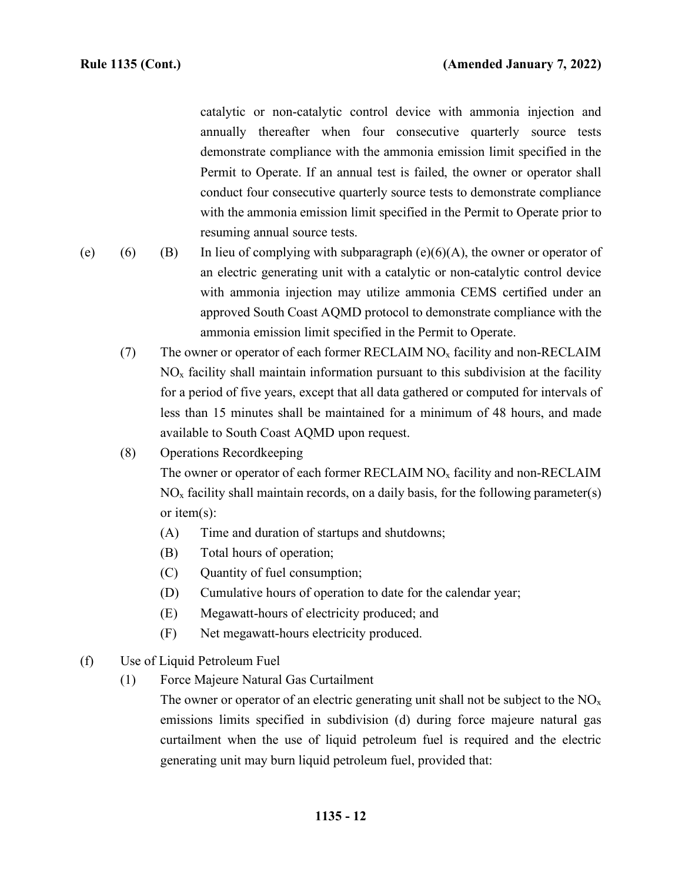catalytic or non-catalytic control device with ammonia injection and annually thereafter when four consecutive quarterly source tests demonstrate compliance with the ammonia emission limit specified in the Permit to Operate. If an annual test is failed, the owner or operator shall conduct four consecutive quarterly source tests to demonstrate compliance with the ammonia emission limit specified in the Permit to Operate prior to resuming annual source tests.

- (e) (6) (B) In lieu of complying with subparagraph (e)(6)(A), the owner or operator of an electric generating unit with a catalytic or non-catalytic control device with ammonia injection may utilize ammonia CEMS certified under an approved South Coast AQMD protocol to demonstrate compliance with the ammonia emission limit specified in the Permit to Operate.
	- (7) The owner or operator of each former RECLAIM  $NO<sub>x</sub>$  facility and non-RECLAIM  $NO<sub>x</sub>$  facility shall maintain information pursuant to this subdivision at the facility for a period of five years, except that all data gathered or computed for intervals of less than 15 minutes shall be maintained for a minimum of 48 hours, and made available to South Coast AQMD upon request.
	- (8) Operations Recordkeeping

The owner or operator of each former RECLAIM  $NO<sub>x</sub>$  facility and non-RECLAIM  $NO<sub>x</sub>$  facility shall maintain records, on a daily basis, for the following parameter(s) or item(s):

- (A) Time and duration of startups and shutdowns;
- (B) Total hours of operation;
- (C) Quantity of fuel consumption;
- (D) Cumulative hours of operation to date for the calendar year;
- (E) Megawatt-hours of electricity produced; and
- (F) Net megawatt-hours electricity produced.
- (f) Use of Liquid Petroleum Fuel
	- (1) Force Majeure Natural Gas Curtailment

The owner or operator of an electric generating unit shall not be subject to the  $NO<sub>x</sub>$ emissions limits specified in subdivision (d) during force majeure natural gas curtailment when the use of liquid petroleum fuel is required and the electric generating unit may burn liquid petroleum fuel, provided that: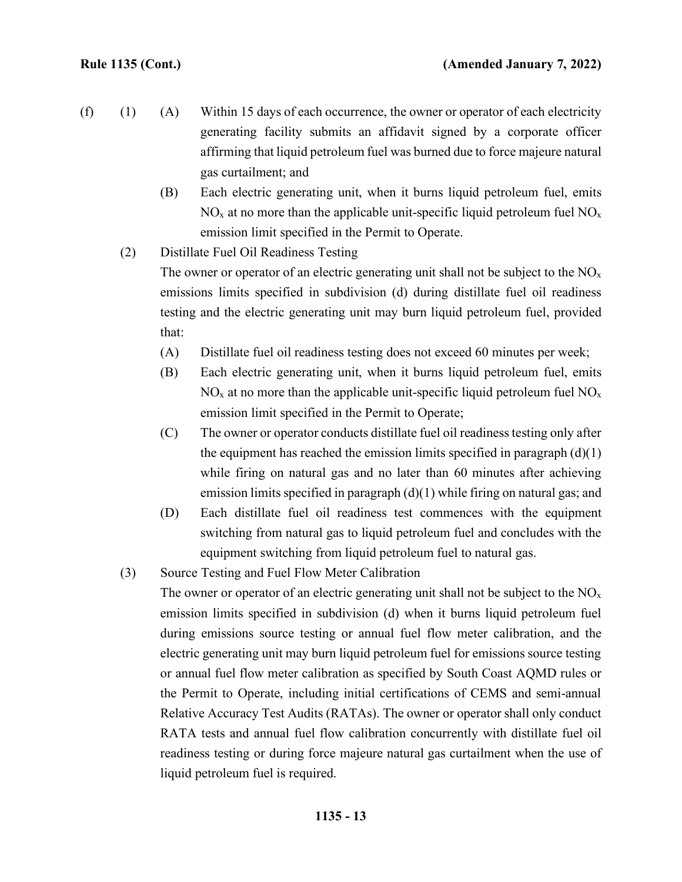- $(f)$  (1) (A) Within 15 days of each occurrence, the owner or operator of each electricity generating facility submits an affidavit signed by a corporate officer affirming that liquid petroleum fuel was burned due to force majeure natural gas curtailment; and
	- (B) Each electric generating unit, when it burns liquid petroleum fuel, emits  $NO<sub>x</sub>$  at no more than the applicable unit-specific liquid petroleum fuel  $NO<sub>x</sub>$ emission limit specified in the Permit to Operate.
	- (2) Distillate Fuel Oil Readiness Testing The owner or operator of an electric generating unit shall not be subject to the  $NO<sub>x</sub>$ emissions limits specified in subdivision (d) during distillate fuel oil readiness testing and the electric generating unit may burn liquid petroleum fuel, provided that:
		- (A) Distillate fuel oil readiness testing does not exceed 60 minutes per week;
		- (B) Each electric generating unit, when it burns liquid petroleum fuel, emits  $NO<sub>x</sub>$  at no more than the applicable unit-specific liquid petroleum fuel  $NO<sub>x</sub>$ emission limit specified in the Permit to Operate;
		- (C) The owner or operator conducts distillate fuel oil readiness testing only after the equipment has reached the emission limits specified in paragraph  $(d)(1)$ while firing on natural gas and no later than 60 minutes after achieving emission limits specified in paragraph  $(d)(1)$  while firing on natural gas; and
		- (D) Each distillate fuel oil readiness test commences with the equipment switching from natural gas to liquid petroleum fuel and concludes with the equipment switching from liquid petroleum fuel to natural gas.
	- (3) Source Testing and Fuel Flow Meter Calibration

The owner or operator of an electric generating unit shall not be subject to the  $NO<sub>x</sub>$ emission limits specified in subdivision (d) when it burns liquid petroleum fuel during emissions source testing or annual fuel flow meter calibration, and the electric generating unit may burn liquid petroleum fuel for emissions source testing or annual fuel flow meter calibration as specified by South Coast AQMD rules or the Permit to Operate, including initial certifications of CEMS and semi-annual Relative Accuracy Test Audits (RATAs). The owner or operator shall only conduct RATA tests and annual fuel flow calibration concurrently with distillate fuel oil readiness testing or during force majeure natural gas curtailment when the use of liquid petroleum fuel is required.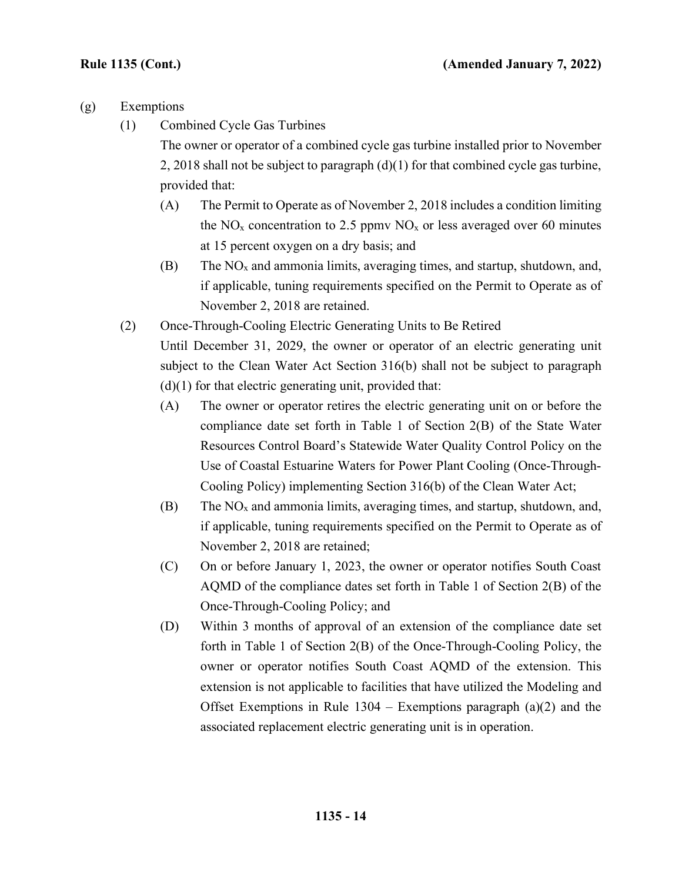- (g) Exemptions
	- (1) Combined Cycle Gas Turbines

The owner or operator of a combined cycle gas turbine installed prior to November 2, 2018 shall not be subject to paragraph (d)(1) for that combined cycle gas turbine, provided that:

- (A) The Permit to Operate as of November 2, 2018 includes a condition limiting the  $NO<sub>x</sub>$  concentration to 2.5 ppmv  $NO<sub>x</sub>$  or less averaged over 60 minutes at 15 percent oxygen on a dry basis; and
- (B) The  $NO<sub>x</sub>$  and ammonia limits, averaging times, and startup, shutdown, and, if applicable, tuning requirements specified on the Permit to Operate as of November 2, 2018 are retained.
- (2) Once-Through-Cooling Electric Generating Units to Be Retired Until December 31, 2029, the owner or operator of an electric generating unit subject to the Clean Water Act Section 316(b) shall not be subject to paragraph  $(d)(1)$  for that electric generating unit, provided that:
	- (A) The owner or operator retires the electric generating unit on or before the compliance date set forth in Table 1 of Section 2(B) of the State Water Resources Control Board's Statewide Water Quality Control Policy on the Use of Coastal Estuarine Waters for Power Plant Cooling (Once-Through-Cooling Policy) implementing Section 316(b) of the Clean Water Act;
	- (B) The  $NO<sub>x</sub>$  and ammonia limits, averaging times, and startup, shutdown, and, if applicable, tuning requirements specified on the Permit to Operate as of November 2, 2018 are retained;
	- (C) On or before January 1, 2023, the owner or operator notifies South Coast AQMD of the compliance dates set forth in Table 1 of Section 2(B) of the Once-Through-Cooling Policy; and
	- (D) Within 3 months of approval of an extension of the compliance date set forth in Table 1 of Section 2(B) of the Once-Through-Cooling Policy, the owner or operator notifies South Coast AQMD of the extension. This extension is not applicable to facilities that have utilized the Modeling and Offset Exemptions in Rule  $1304$  – Exemptions paragraph (a)(2) and the associated replacement electric generating unit is in operation.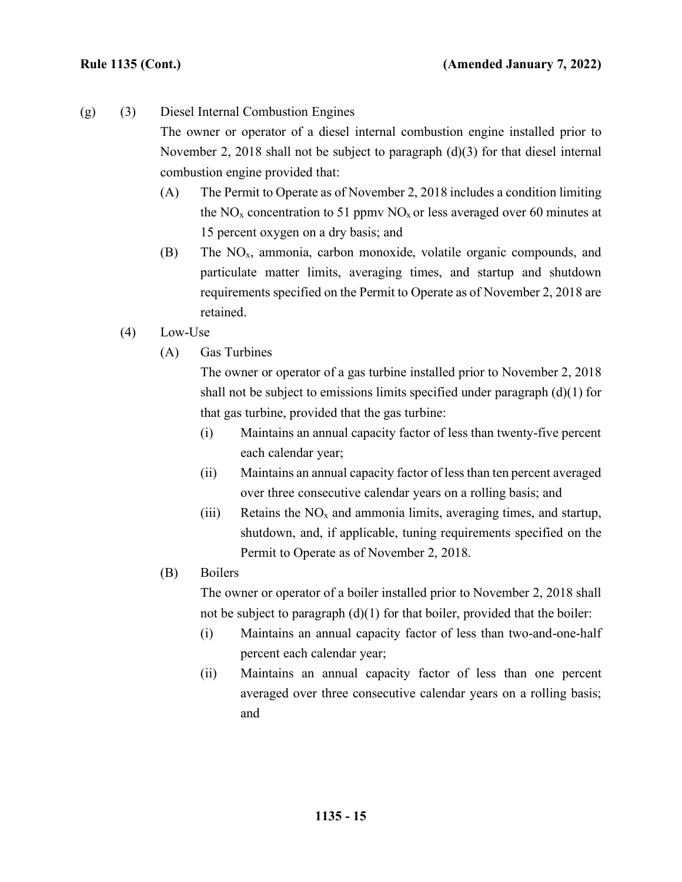- (g) (3) Diesel Internal Combustion Engines The owner or operator of a diesel internal combustion engine installed prior to November 2, 2018 shall not be subject to paragraph (d)(3) for that diesel internal combustion engine provided that: (A) The Permit to Operate as of November 2, 2018 includes a condition limiting
	- the  $NO<sub>x</sub>$  concentration to 51 ppmv  $NO<sub>x</sub>$  or less averaged over 60 minutes at 15 percent oxygen on a dry basis; and
	- (B) The  $NO<sub>x</sub>$ , ammonia, carbon monoxide, volatile organic compounds, and particulate matter limits, averaging times, and startup and shutdown requirements specified on the Permit to Operate as of November 2, 2018 are retained.
	- (4) Low-Use
		- (A) Gas Turbines

The owner or operator of a gas turbine installed prior to November 2, 2018 shall not be subject to emissions limits specified under paragraph  $(d)(1)$  for that gas turbine, provided that the gas turbine:

- (i) Maintains an annual capacity factor of less than twenty-five percent each calendar year;
- (ii) Maintains an annual capacity factor of less than ten percent averaged over three consecutive calendar years on a rolling basis; and
- (iii) Retains the  $NO<sub>x</sub>$  and ammonia limits, averaging times, and startup, shutdown, and, if applicable, tuning requirements specified on the Permit to Operate as of November 2, 2018.
- (B) Boilers

The owner or operator of a boiler installed prior to November 2, 2018 shall not be subject to paragraph  $(d)(1)$  for that boiler, provided that the boiler:

- (i) Maintains an annual capacity factor of less than two-and-one-half percent each calendar year;
- (ii) Maintains an annual capacity factor of less than one percent averaged over three consecutive calendar years on a rolling basis; and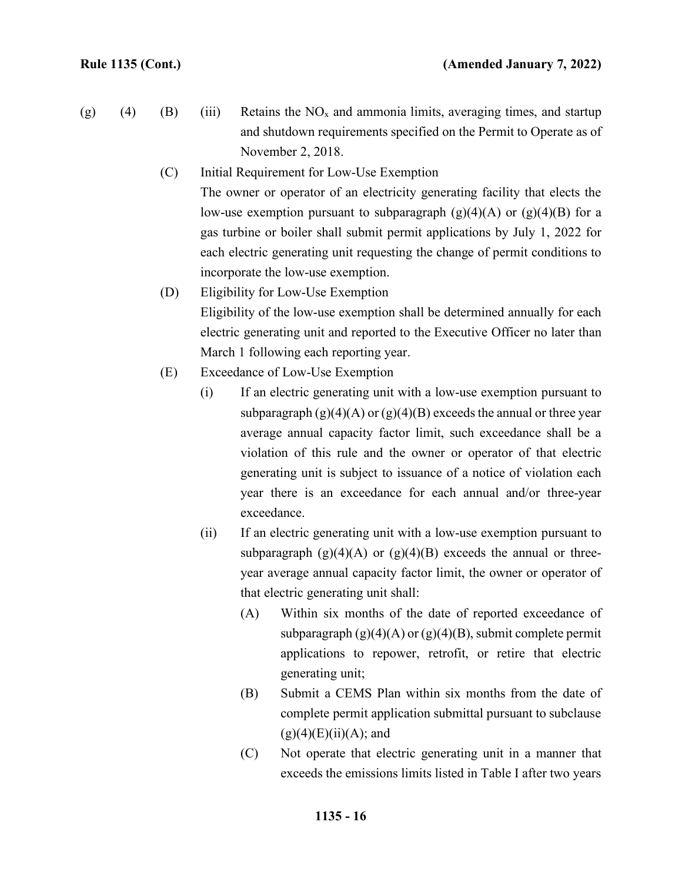- (g) (4) (B) (iii) Retains the  $NO<sub>x</sub>$  and ammonia limits, averaging times, and startup and shutdown requirements specified on the Permit to Operate as of November 2, 2018.
	- (C) Initial Requirement for Low-Use Exemption The owner or operator of an electricity generating facility that elects the low-use exemption pursuant to subparagraph  $(g)(4)(A)$  or  $(g)(4)(B)$  for a gas turbine or boiler shall submit permit applications by July 1, 2022 for each electric generating unit requesting the change of permit conditions to incorporate the low-use exemption.
	- (D) Eligibility for Low-Use Exemption Eligibility of the low-use exemption shall be determined annually for each electric generating unit and reported to the Executive Officer no later than March 1 following each reporting year.
	- (E) Exceedance of Low-Use Exemption
		- (i) If an electric generating unit with a low-use exemption pursuant to subparagraph  $(g)(4)(A)$  or  $(g)(4)(B)$  exceeds the annual or three year average annual capacity factor limit, such exceedance shall be a violation of this rule and the owner or operator of that electric generating unit is subject to issuance of a notice of violation each year there is an exceedance for each annual and/or three-year exceedance.
		- (ii) If an electric generating unit with a low-use exemption pursuant to subparagraph  $(g)(4)(A)$  or  $(g)(4)(B)$  exceeds the annual or threeyear average annual capacity factor limit, the owner or operator of that electric generating unit shall:
			- (A) Within six months of the date of reported exceedance of subparagraph  $(g)(4)(A)$  or  $(g)(4)(B)$ , submit complete permit applications to repower, retrofit, or retire that electric generating unit;
			- (B) Submit a CEMS Plan within six months from the date of complete permit application submittal pursuant to subclause  $(g)(4)(E)(ii)(A);$  and
			- (C) Not operate that electric generating unit in a manner that exceeds the emissions limits listed in Table I after two years